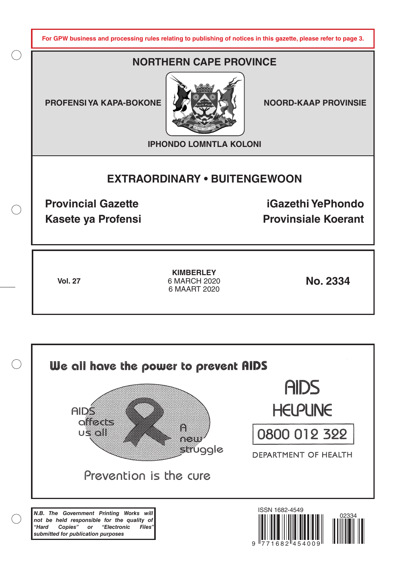**For GPW business and processing rules relating to publishing of notices in this gazette, please refer to page 3.**

# **NORTHERN CAPE PROVINCE**

**PROFENSI YA KAPA-BOKONE | 4 ZA XAN KANALI NOORD-KAAP PROVINSIE** 



**IPHONDO LOMNTLA KOLONI**

# **EXTRAORDINARY • BUITENGEWOON**

**Provincial Gazette iGazethi YePhondo Kasete ya Profensi Provinsiale Koerant** 

**Vol. 27 No. 2334 KIMBERLEY** 6 MARCH 2020 6 MAART 2020

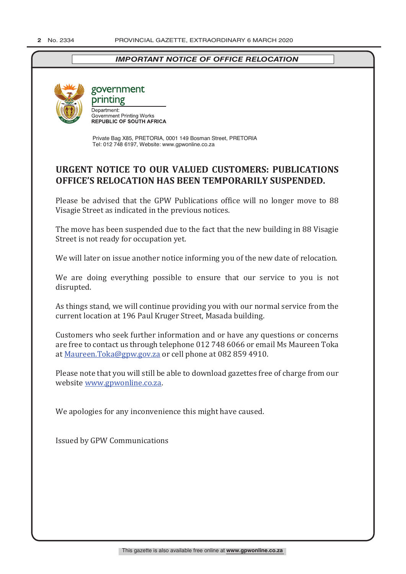## *IMPORTANT NOTICE OF OFFICE RELOCATION*



## government printing Department: Department.<br>Government Printing Works<br>REPUBLIC OF SOUTH AFRICA

Private Bag X85, PRETORIA, 0001 149 Bosman Street, PRETORIA Tel: 012 748 6197, Website: www.gpwonline.co.za

# **URGENT NOTICE TO OUR VALUED CUSTOMERS: PUBLICATIONS OFFICE'S RELOCATION HAS BEEN TEMPORARILY SUSPENDED.**

Please be advised that the GPW Publications office will no longer move to 88 Visagie Street as indicated in the previous notices.

The move has been suspended due to the fact that the new building in 88 Visagie Street is not ready for occupation yet.

We will later on issue another notice informing you of the new date of relocation.

We are doing everything possible to ensure that our service to you is not disrupted.

As things stand, we will continue providing you with our normal service from the current location at 196 Paul Kruger Street, Masada building.

Customers who seek further information and or have any questions or concerns are free to contact us through telephone 012 748 6066 or email Ms Maureen Toka at Maureen.Toka@gpw.gov.za or cell phone at 082 859 4910.

Please note that you will still be able to download gazettes free of charge from our website www.gpwonline.co.za.

We apologies for any inconvenience this might have caused.

Issued by GPW Communications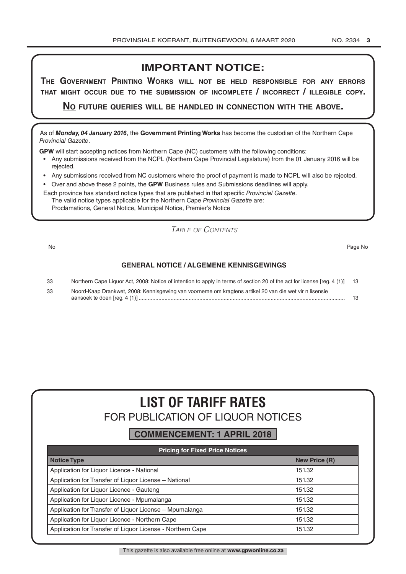## **IMPORTANT NOTICE:**

**The GovernmenT PrinTinG Works Will noT be held resPonsible for any errors ThaT miGhT occur due To The submission of incomPleTe / incorrecT / illeGible coPy.**

**no fuTure queries Will be handled in connecTion WiTh The above.**

As of *Monday, 04 January 2016*, the **Government Printing Works** has become the custodian of the Northern Cape *Provincial Gazette*.

**GPW** will start accepting notices from Northern Cape (NC) customers with the following conditions:

- Any submissions received from the NCPL (Northern Cape Provincial Legislature) from the 01 January 2016 will be rejected.
- Any submissions received from NC customers where the proof of payment is made to NCPL will also be rejected.
- Over and above these 2 points, the **GPW** Business rules and Submissions deadlines will apply.

Each province has standard notice types that are published in that specific *Provincial Gazette*. The valid notice types applicable for the Northern Cape *Provincial Gazette* are: Proclamations, General Notice, Municipal Notice, Premier's Notice

*Table of Contents*

No Page No

#### **GENERAL NOTICE / ALGEMENE KENNISGEWINGS**

| 33 | Northern Cape Liquor Act, 2008: Notice of intention to apply in terms of section 20 of the act for license [reg. 4 (1)] 13 |  |
|----|----------------------------------------------------------------------------------------------------------------------------|--|
| 33 | Noord-Kaap Drankwet, 2008: Kennisgewing van voorneme om kragtens artikel 20 van die wet vir n lisensie                     |  |
|    |                                                                                                                            |  |

# **LIST OF TARIFF RATES** FOR PUBLICATION OF LIQUOR NOTICES

## **COMMENCEMENT: 1 APRIL 2018**

| <b>Pricing for Fixed Price Notices</b>                     |                      |
|------------------------------------------------------------|----------------------|
| <b>Notice Type</b>                                         | <b>New Price (R)</b> |
| Application for Liquor Licence - National                  | 151.32               |
| Application for Transfer of Liquor License - National      | 151.32               |
| Application for Liquor Licence - Gauteng                   | 151.32               |
| Application for Liguor Licence - Mpumalanga                | 151.32               |
| Application for Transfer of Liquor License - Mpumalanga    | 151.32               |
| Application for Liquor Licence - Northern Cape             | 151.32               |
| Application for Transfer of Liquor License - Northern Cape | 151.32               |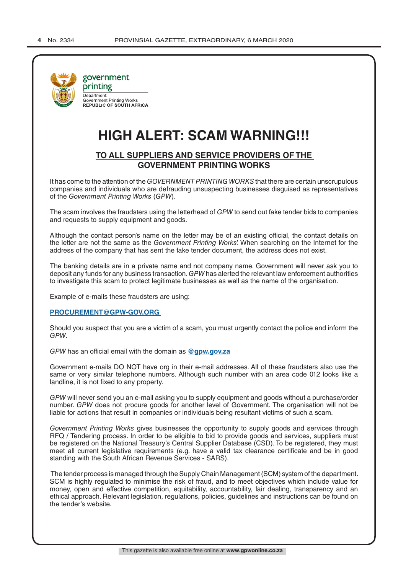

# **HIGH ALERT: SCAM WARNING!!!**

## **TO ALL SUPPLIERS AND SERVICE PROVIDERS OF THE GOVERNMENT PRINTING WORKS**

It has come to the attention of the *GOVERNMENT PRINTING WORKS* that there are certain unscrupulous companies and individuals who are defrauding unsuspecting businesses disguised as representatives of the *Government Printing Works* (*GPW*).

The scam involves the fraudsters using the letterhead of *GPW* to send out fake tender bids to companies and requests to supply equipment and goods.

Although the contact person's name on the letter may be of an existing official, the contact details on the letter are not the same as the *Government Printing Works*'. When searching on the Internet for the address of the company that has sent the fake tender document, the address does not exist.

The banking details are in a private name and not company name. Government will never ask you to deposit any funds for any business transaction. *GPW* has alerted the relevant law enforcement authorities to investigate this scam to protect legitimate businesses as well as the name of the organisation.

Example of e-mails these fraudsters are using:

#### **PROCUREMENT@GPW-GOV.ORG**

Should you suspect that you are a victim of a scam, you must urgently contact the police and inform the *GPW*.

*GPW* has an official email with the domain as **@gpw.gov.za**

Government e-mails DO NOT have org in their e-mail addresses. All of these fraudsters also use the same or very similar telephone numbers. Although such number with an area code 012 looks like a landline, it is not fixed to any property.

*GPW* will never send you an e-mail asking you to supply equipment and goods without a purchase/order number. *GPW* does not procure goods for another level of Government. The organisation will not be liable for actions that result in companies or individuals being resultant victims of such a scam.

*Government Printing Works* gives businesses the opportunity to supply goods and services through RFQ / Tendering process. In order to be eligible to bid to provide goods and services, suppliers must be registered on the National Treasury's Central Supplier Database (CSD). To be registered, they must meet all current legislative requirements (e.g. have a valid tax clearance certificate and be in good standing with the South African Revenue Services - SARS).

 The tender process is managed through the Supply Chain Management (SCM) system of the department. SCM is highly regulated to minimise the risk of fraud, and to meet objectives which include value for money, open and effective competition, equitability, accountability, fair dealing, transparency and an ethical approach. Relevant legislation, regulations, policies, guidelines and instructions can be found on the tender's website.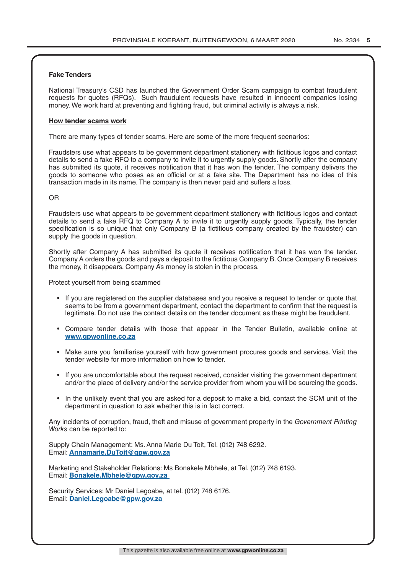#### **Fake Tenders**

National Treasury's CSD has launched the Government Order Scam campaign to combat fraudulent requests for quotes (RFQs). Such fraudulent requests have resulted in innocent companies losing money. We work hard at preventing and fighting fraud, but criminal activity is always a risk.

#### **How tender scams work**

There are many types of tender scams. Here are some of the more frequent scenarios:

Fraudsters use what appears to be government department stationery with fictitious logos and contact details to send a fake RFQ to a company to invite it to urgently supply goods. Shortly after the company has submitted its quote, it receives notification that it has won the tender. The company delivers the goods to someone who poses as an official or at a fake site. The Department has no idea of this transaction made in its name. The company is then never paid and suffers a loss.

#### OR

Fraudsters use what appears to be government department stationery with fictitious logos and contact details to send a fake RFQ to Company A to invite it to urgently supply goods. Typically, the tender specification is so unique that only Company B (a fictitious company created by the fraudster) can supply the goods in question.

Shortly after Company A has submitted its quote it receives notification that it has won the tender. Company A orders the goods and pays a deposit to the fictitious Company B. Once Company B receives the money, it disappears. Company A's money is stolen in the process.

Protect yourself from being scammed

- If you are registered on the supplier databases and you receive a request to tender or quote that seems to be from a government department, contact the department to confirm that the request is legitimate. Do not use the contact details on the tender document as these might be fraudulent.
- Compare tender details with those that appear in the Tender Bulletin, available online at **www.gpwonline.co.za**
- Make sure you familiarise yourself with how government procures goods and services. Visit the tender website for more information on how to tender.
- If you are uncomfortable about the request received, consider visiting the government department and/or the place of delivery and/or the service provider from whom you will be sourcing the goods.
- In the unlikely event that you are asked for a deposit to make a bid, contact the SCM unit of the department in question to ask whether this is in fact correct.

Any incidents of corruption, fraud, theft and misuse of government property in the *Government Printing Works* can be reported to:

Supply Chain Management: Ms. Anna Marie Du Toit, Tel. (012) 748 6292. Email: **Annamarie.DuToit@gpw.gov.za**

Marketing and Stakeholder Relations: Ms Bonakele Mbhele, at Tel. (012) 748 6193. Email: **Bonakele.Mbhele@gpw.gov.za** 

Security Services: Mr Daniel Legoabe, at tel. (012) 748 6176. Email: **Daniel.Legoabe@gpw.gov.za**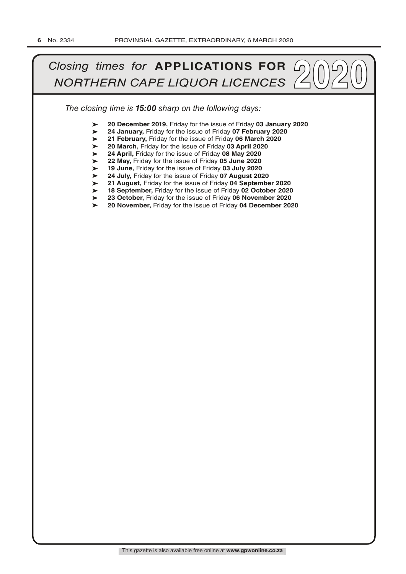# *Closing times for APPLICATIONS FOR*  $\bigcirc$   $\bigcirc$   $\bigcirc$   $\bigcirc$   $\bigcirc$   $\bigcirc$   $\bigcirc$   $\bigcirc$   $\bigcirc$   $\bigcirc$   $\bigcirc$   $\bigcirc$   $\bigcirc$   $\bigcirc$   $\bigcirc$   $\bigcirc$   $\bigcirc$   $\bigcirc$   $\bigcirc$   $\bigcirc$   $\bigcirc$   $\bigcirc$   $\bigcirc$   $\bigcirc$   $\bigcirc$   $\bigcirc$   $\bigcirc$   $\bigcirc$   $\bigcirc$   $\bigcirc$   $\bigcirc$

*The closing time is 15:00 sharp on the following days:*

- ➤ **20 December 2019,** Friday for the issue of Friday **03 January 2020**
- ➤ **24 January,** Friday for the issue of Friday **07 February 2020**
- ➤ **21 February,** Friday for the issue of Friday **06 March 2020**
- ➤ **20 March,** Friday for the issue of Friday **03 April 2020**
- ➤ **24 April,** Friday for the issue of Friday **08 May 2020**
- ➤ **22 May,** Friday for the issue of Friday **05 June 2020**
- ➤ **19 June,** Friday for the issue of Friday **03 July 2020**
- ➤ **24 July,** Friday for the issue of Friday **07 August 2020**
- ➤ **21 August,** Friday for the issue of Friday **04 September 2020**
- ➤ **18 September,** Friday for the issue of Friday **02 October 2020**
- ➤ **23 October,** Friday for the issue of Friday **06 November 2020**
- $\blacktriangleright$ **20 November,** Friday for the issue of Friday **04 December 2020**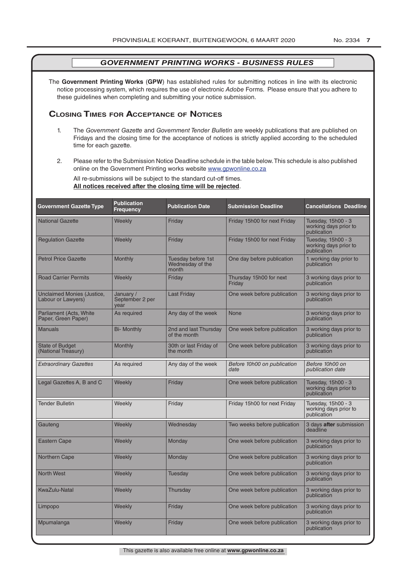The **Government Printing Works** (**GPW**) has established rules for submitting notices in line with its electronic notice processing system, which requires the use of electronic *Adobe* Forms. Please ensure that you adhere to these guidelines when completing and submitting your notice submission.

#### **Closing Times for ACCepTAnCe of noTiCes**

- 1. The *Government Gazette* and *Government Tender Bulletin* are weekly publications that are published on Fridays and the closing time for the acceptance of notices is strictly applied according to the scheduled time for each gazette.
- 2. Please refer to the Submission Notice Deadline schedule in the table below. This schedule is also published online on the Government Printing works website www.gpwonline.co.za

All re-submissions will be subject to the standard cut-off times. **All notices received after the closing time will be rejected**.

| <b>Government Gazette Type</b>                          | <b>Publication</b><br><b>Frequency</b> | <b>Publication Date</b>                         | <b>Submission Deadline</b>          | <b>Cancellations Deadline</b>                              |
|---------------------------------------------------------|----------------------------------------|-------------------------------------------------|-------------------------------------|------------------------------------------------------------|
| <b>National Gazette</b>                                 | Weekly                                 | Friday                                          | Friday 15h00 for next Friday        | Tuesday, 15h00 - 3<br>working days prior to<br>publication |
| <b>Regulation Gazette</b>                               | Weekly                                 | Friday                                          | Friday 15h00 for next Friday        | Tuesday, 15h00 - 3<br>working days prior to<br>publication |
| <b>Petrol Price Gazette</b>                             | Monthly                                | Tuesday before 1st<br>Wednesday of the<br>month | One day before publication          | 1 working day prior to<br>publication                      |
| <b>Road Carrier Permits</b>                             | Weekly                                 | Friday                                          | Thursday 15h00 for next<br>Friday   | 3 working days prior to<br>publication                     |
| <b>Unclaimed Monies (Justice,</b><br>Labour or Lawyers) | January /<br>September 2 per<br>vear   | <b>Last Friday</b>                              | One week before publication         | 3 working days prior to<br>publication                     |
| Parliament (Acts, White<br>Paper, Green Paper)          | As required                            | Any day of the week                             | None                                | 3 working days prior to<br>publication                     |
| <b>Manuals</b>                                          | <b>Bi- Monthly</b>                     | 2nd and last Thursday<br>of the month           | One week before publication         | 3 working days prior to<br>publication                     |
| <b>State of Budget</b><br>(National Treasury)           | Monthly                                | 30th or last Friday of<br>the month             | One week before publication         | 3 working days prior to<br>publication                     |
| <b>Extraordinary Gazettes</b>                           | As required                            | Any day of the week                             | Before 10h00 on publication<br>date | Before 10h00 on<br>publication date                        |
| Legal Gazettes A, B and C                               | Weekly                                 | Friday                                          | One week before publication         | Tuesday, 15h00 - 3<br>working days prior to<br>publication |
| <b>Tender Bulletin</b>                                  | Weekly                                 | Friday                                          | Friday 15h00 for next Friday        | Tuesday, 15h00 - 3<br>working days prior to<br>publication |
| Gauteng                                                 | Weekly                                 | Wednesday                                       | Two weeks before publication        | 3 days after submission<br>deadline                        |
| <b>Eastern Cape</b>                                     | Weekly                                 | Monday                                          | One week before publication         | 3 working days prior to<br>publication                     |
| Northern Cape                                           | Weekly                                 | Monday                                          | One week before publication         | 3 working days prior to<br>publication                     |
| <b>North West</b>                                       | Weekly                                 | Tuesdav                                         | One week before publication         | 3 working days prior to<br>publication                     |
| <b>KwaZulu-Natal</b>                                    | Weekly                                 | Thursday                                        | One week before publication         | 3 working days prior to<br>publication                     |
| Limpopo                                                 | Weekly                                 | Friday                                          | One week before publication         | 3 working days prior to<br>publication                     |
| Mpumalanga                                              | Weekly                                 | Friday                                          | One week before publication         | 3 working days prior to<br>publication                     |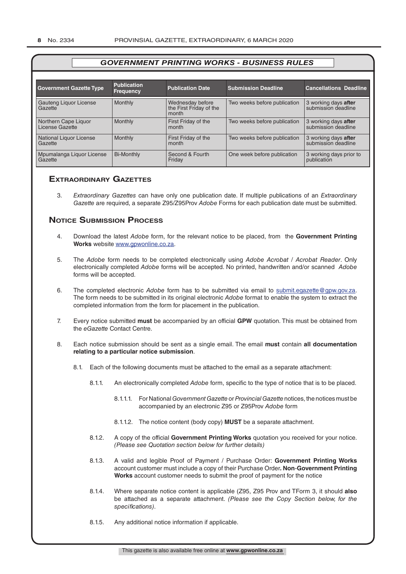| <b>Government Gazette Type</b>          | <b>Publication</b><br><b>Frequency</b> | <b>Publication Date</b>                              | <b>Submission Deadline</b>   | <b>Cancellations Deadline</b>               |
|-----------------------------------------|----------------------------------------|------------------------------------------------------|------------------------------|---------------------------------------------|
| Gauteng Liquor License<br>Gazette       | Monthly                                | Wednesday before<br>the First Friday of the<br>month | Two weeks before publication | 3 working days after<br>submission deadline |
| Northern Cape Liquor<br>License Gazette | Monthly                                | First Friday of the<br>month                         | Two weeks before publication | 3 working days after<br>submission deadline |
| National Liquor License<br>Gazette      | <b>Monthly</b>                         | First Friday of the<br>month                         | Two weeks before publication | 3 working days after<br>submission deadline |
| Mpumalanga Liquor License<br>Gazette    | <b>Bi-Monthly</b>                      | Second & Fourth<br>Friday                            | One week before publication  | 3 working days prior to<br>publication      |

#### **exTrAordinAry gAzeTTes**

3. *Extraordinary Gazettes* can have only one publication date. If multiple publications of an *Extraordinary Gazette* are required, a separate Z95/Z95Prov *Adobe* Forms for each publication date must be submitted.

#### **NOTICE SUBMISSION PROCESS**

- 4. Download the latest *Adobe* form, for the relevant notice to be placed, from the **Government Printing Works** website www.gpwonline.co.za.
- 5. The *Adobe* form needs to be completed electronically using *Adobe Acrobat* / *Acrobat Reader*. Only electronically completed *Adobe* forms will be accepted. No printed, handwritten and/or scanned *Adobe* forms will be accepted.
- 6. The completed electronic *Adobe* form has to be submitted via email to submit.egazette@gpw.gov.za. The form needs to be submitted in its original electronic *Adobe* format to enable the system to extract the completed information from the form for placement in the publication.
- 7. Every notice submitted **must** be accompanied by an official **GPW** quotation. This must be obtained from the *eGazette* Contact Centre.
- 8. Each notice submission should be sent as a single email. The email **must** contain **all documentation relating to a particular notice submission**.
	- 8.1. Each of the following documents must be attached to the email as a separate attachment:
		- 8.1.1. An electronically completed *Adobe* form, specific to the type of notice that is to be placed.
			- 8.1.1.1. For National *Government Gazette* or *Provincial Gazette* notices, the notices must be accompanied by an electronic Z95 or Z95Prov *Adobe* form
			- 8.1.1.2. The notice content (body copy) **MUST** be a separate attachment.
		- 8.1.2. A copy of the official **Government Printing Works** quotation you received for your notice. *(Please see Quotation section below for further details)*
		- 8.1.3. A valid and legible Proof of Payment / Purchase Order: **Government Printing Works** account customer must include a copy of their Purchase Order*.* **Non**-**Government Printing Works** account customer needs to submit the proof of payment for the notice
		- 8.1.4. Where separate notice content is applicable (Z95, Z95 Prov and TForm 3, it should **also** be attached as a separate attachment. *(Please see the Copy Section below, for the specifications)*.
		- 8.1.5. Any additional notice information if applicable.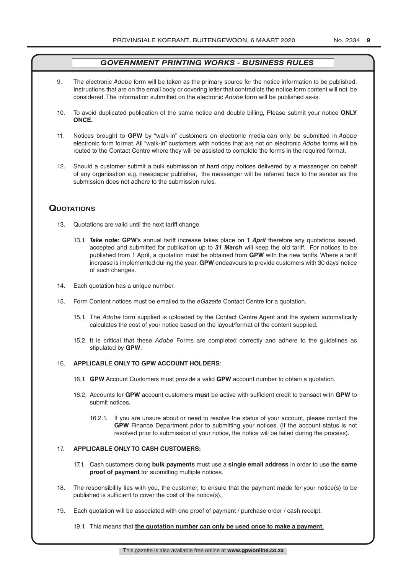- 9. The electronic *Adobe* form will be taken as the primary source for the notice information to be published. Instructions that are on the email body or covering letter that contradicts the notice form content will not be considered. The information submitted on the electronic *Adobe* form will be published as-is.
- 10. To avoid duplicated publication of the same notice and double billing, Please submit your notice **ONLY ONCE.**
- 11. Notices brought to **GPW** by "walk-in" customers on electronic media can only be submitted in *Adobe* electronic form format. All "walk-in" customers with notices that are not on electronic *Adobe* forms will be routed to the Contact Centre where they will be assisted to complete the forms in the required format.
- 12. Should a customer submit a bulk submission of hard copy notices delivered by a messenger on behalf of any organisation e.g. newspaper publisher, the messenger will be referred back to the sender as the submission does not adhere to the submission rules.

#### **QuoTATions**

- 13. Quotations are valid until the next tariff change.
	- 13.1. *Take note:* **GPW**'s annual tariff increase takes place on *1 April* therefore any quotations issued, accepted and submitted for publication up to *31 March* will keep the old tariff. For notices to be published from 1 April, a quotation must be obtained from **GPW** with the new tariffs. Where a tariff increase is implemented during the year, **GPW** endeavours to provide customers with 30 days' notice of such changes.
- 14. Each quotation has a unique number.
- 15. Form Content notices must be emailed to the *eGazette* Contact Centre for a quotation.
	- 15.1. The *Adobe* form supplied is uploaded by the Contact Centre Agent and the system automatically calculates the cost of your notice based on the layout/format of the content supplied.
	- 15.2. It is critical that these *Adobe* Forms are completed correctly and adhere to the guidelines as stipulated by **GPW**.

#### 16. **APPLICABLE ONLY TO GPW ACCOUNT HOLDERS**:

- 16.1. **GPW** Account Customers must provide a valid **GPW** account number to obtain a quotation.
- 16.2. Accounts for **GPW** account customers **must** be active with sufficient credit to transact with **GPW** to submit notices.
	- 16.2.1. If you are unsure about or need to resolve the status of your account, please contact the **GPW** Finance Department prior to submitting your notices. (If the account status is not resolved prior to submission of your notice, the notice will be failed during the process).

#### 17. **APPLICABLE ONLY TO CASH CUSTOMERS:**

- 17.1. Cash customers doing **bulk payments** must use a **single email address** in order to use the **same proof of payment** for submitting multiple notices.
- 18. The responsibility lies with you, the customer, to ensure that the payment made for your notice(s) to be published is sufficient to cover the cost of the notice(s).
- 19. Each quotation will be associated with one proof of payment / purchase order / cash receipt.

#### 19.1. This means that **the quotation number can only be used once to make a payment.**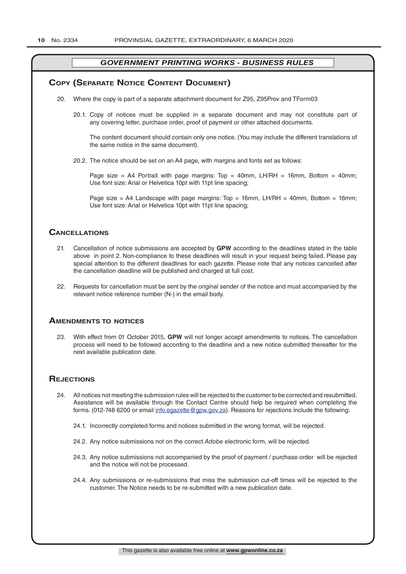#### **COPY (SEPARATE NOTICE CONTENT DOCUMENT)**

- 20. Where the copy is part of a separate attachment document for Z95, Z95Prov and TForm03
	- 20.1. Copy of notices must be supplied in a separate document and may not constitute part of any covering letter, purchase order, proof of payment or other attached documents.

The content document should contain only one notice. (You may include the different translations of the same notice in the same document).

20.2. The notice should be set on an A4 page, with margins and fonts set as follows:

Page size = A4 Portrait with page margins: Top = 40mm, LH/RH = 16mm, Bottom = 40mm; Use font size: Arial or Helvetica 10pt with 11pt line spacing;

Page size = A4 Landscape with page margins:  $Top = 16mm$ , LH/RH = 40mm, Bottom = 16mm; Use font size: Arial or Helvetica 10pt with 11pt line spacing;

#### **CAnCellATions**

- 21. Cancellation of notice submissions are accepted by **GPW** according to the deadlines stated in the table above in point 2. Non-compliance to these deadlines will result in your request being failed. Please pay special attention to the different deadlines for each gazette. Please note that any notices cancelled after the cancellation deadline will be published and charged at full cost.
- 22. Requests for cancellation must be sent by the original sender of the notice and must accompanied by the relevant notice reference number (N-) in the email body.

#### **AmendmenTs To noTiCes**

23. With effect from 01 October 2015, **GPW** will not longer accept amendments to notices. The cancellation process will need to be followed according to the deadline and a new notice submitted thereafter for the next available publication date.

#### **REJECTIONS**

- 24. All notices not meeting the submission rules will be rejected to the customer to be corrected and resubmitted. Assistance will be available through the Contact Centre should help be required when completing the forms. (012-748 6200 or email info.egazette@gpw.gov.za). Reasons for rejections include the following:
	- 24.1. Incorrectly completed forms and notices submitted in the wrong format, will be rejected.
	- 24.2. Any notice submissions not on the correct *Adobe* electronic form, will be rejected.
	- 24.3. Any notice submissions not accompanied by the proof of payment / purchase order will be rejected and the notice will not be processed.
	- 24.4. Any submissions or re-submissions that miss the submission cut-off times will be rejected to the customer. The Notice needs to be re-submitted with a new publication date.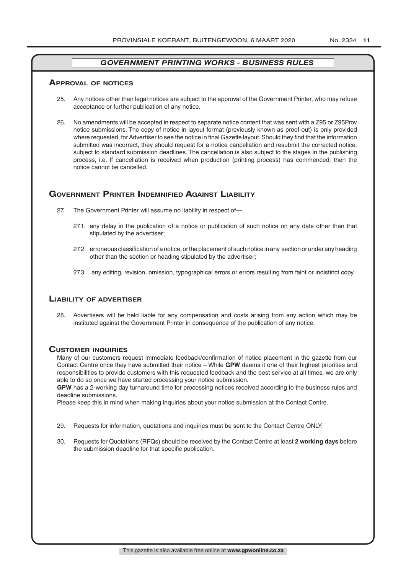#### **ApprovAl of noTiCes**

- 25. Any notices other than legal notices are subject to the approval of the Government Printer, who may refuse acceptance or further publication of any notice.
- 26. No amendments will be accepted in respect to separate notice content that was sent with a Z95 or Z95Prov notice submissions. The copy of notice in layout format (previously known as proof-out) is only provided where requested, for Advertiser to see the notice in final Gazette layout. Should they find that the information submitted was incorrect, they should request for a notice cancellation and resubmit the corrected notice, subject to standard submission deadlines. The cancellation is also subject to the stages in the publishing process, i.e. If cancellation is received when production (printing process) has commenced, then the notice cannot be cancelled.

#### **governmenT prinTer indemnified AgAinsT liAbiliTy**

- 27. The Government Printer will assume no liability in respect of—
	- 27.1. any delay in the publication of a notice or publication of such notice on any date other than that stipulated by the advertiser;
	- 27.2. erroneous classification of a notice, or the placement of such notice in any section or under any heading other than the section or heading stipulated by the advertiser;
	- 27.3. any editing, revision, omission, typographical errors or errors resulting from faint or indistinct copy.

#### **liAbiliTy of AdverTiser**

28. Advertisers will be held liable for any compensation and costs arising from any action which may be instituted against the Government Printer in consequence of the publication of any notice.

#### **CusTomer inQuiries**

Many of our customers request immediate feedback/confirmation of notice placement in the gazette from our Contact Centre once they have submitted their notice – While **GPW** deems it one of their highest priorities and responsibilities to provide customers with this requested feedback and the best service at all times, we are only able to do so once we have started processing your notice submission.

**GPW** has a 2-working day turnaround time for processing notices received according to the business rules and deadline submissions.

Please keep this in mind when making inquiries about your notice submission at the Contact Centre.

- 29. Requests for information, quotations and inquiries must be sent to the Contact Centre ONLY.
- 30. Requests for Quotations (RFQs) should be received by the Contact Centre at least **2 working days** before the submission deadline for that specific publication.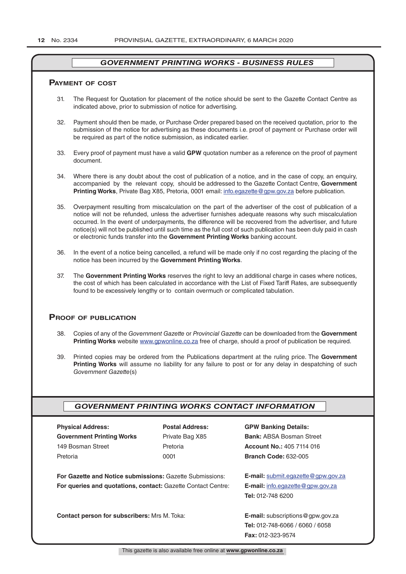#### **pAymenT of CosT**

- 31. The Request for Quotation for placement of the notice should be sent to the Gazette Contact Centre as indicated above, prior to submission of notice for advertising.
- 32. Payment should then be made, or Purchase Order prepared based on the received quotation, prior to the submission of the notice for advertising as these documents i.e. proof of payment or Purchase order will be required as part of the notice submission, as indicated earlier.
- 33. Every proof of payment must have a valid **GPW** quotation number as a reference on the proof of payment document.
- 34. Where there is any doubt about the cost of publication of a notice, and in the case of copy, an enquiry, accompanied by the relevant copy, should be addressed to the Gazette Contact Centre, **Government Printing Works**, Private Bag X85, Pretoria, 0001 email: info.egazette@gpw.gov.za before publication.
- 35. Overpayment resulting from miscalculation on the part of the advertiser of the cost of publication of a notice will not be refunded, unless the advertiser furnishes adequate reasons why such miscalculation occurred. In the event of underpayments, the difference will be recovered from the advertiser, and future notice(s) will not be published until such time as the full cost of such publication has been duly paid in cash or electronic funds transfer into the **Government Printing Works** banking account.
- 36. In the event of a notice being cancelled, a refund will be made only if no cost regarding the placing of the notice has been incurred by the **Government Printing Works**.
- 37. The **Government Printing Works** reserves the right to levy an additional charge in cases where notices, the cost of which has been calculated in accordance with the List of Fixed Tariff Rates, are subsequently found to be excessively lengthy or to contain overmuch or complicated tabulation.

#### **proof of publiCATion**

- 38. Copies of any of the *Government Gazette* or *Provincial Gazette* can be downloaded from the **Government Printing Works** website www.gpwonline.co.za free of charge, should a proof of publication be required.
- 39. Printed copies may be ordered from the Publications department at the ruling price. The **Government Printing Works** will assume no liability for any failure to post or for any delay in despatching of such *Government Gazette*(s)

#### *GOVERNMENT PRINTING WORKS CONTACT INFORMATION*

| <b>Physical Address:</b>                                            | <b>Postal Address:</b> | <b>GPW Banking Details:</b>              |
|---------------------------------------------------------------------|------------------------|------------------------------------------|
| <b>Government Printing Works</b>                                    | Private Bag X85        | <b>Bank: ABSA Bosman Street</b>          |
| 149 Bosman Street                                                   | Pretoria               | <b>Account No.: 405 7114 016</b>         |
| Pretoria                                                            | 0001                   | <b>Branch Code: 632-005</b>              |
|                                                                     |                        |                                          |
| For Gazette and Notice submissions: Gazette Submissions:            |                        | E-mail: submit.egazette@gpw.gov.za       |
| <b>For queries and quotations, contact: Gazette Contact Centre:</b> |                        | <b>E-mail:</b> info.egazette@gpw.gov.za  |
|                                                                     |                        | <b>Tel: 012-748 6200</b>                 |
|                                                                     |                        |                                          |
| <b>Contact person for subscribers: Mrs M. Toka:</b>                 |                        | <b>E-mail:</b> subscriptions @gpw.gov.za |
|                                                                     |                        | Tel: 012-748-6066 / 6060 / 6058          |
|                                                                     |                        | <b>Fax: 012-323-9574</b>                 |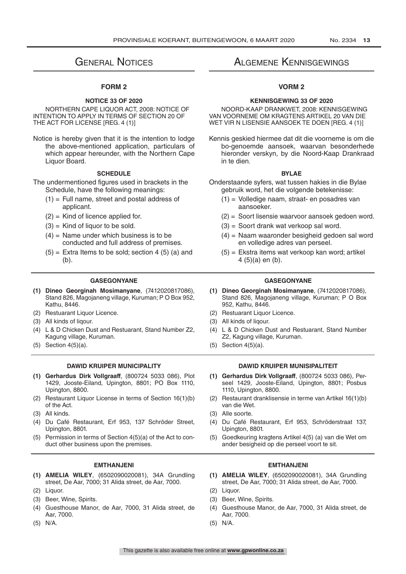# **GENERAL NOTICES**

#### **FORM 2**

#### **NOTICE 33 OF 2020**

NORTHERN CAPE LIQUOR ACT, 2008: NOTICE OF INTENTION TO APPLY IN TERMS OF SECTION 20 OF THE ACT FOR LICENSE [REG. 4 (1)]

Notice is hereby given that it is the intention to lodge the above-mentioned application, particulars of which appear hereunder, with the Northern Cape Liquor Board.

#### **SCHEDULE**

The undermentioned figures used in brackets in the Schedule, have the following meanings:

- $(1)$  = Full name, street and postal address of applicant.
- $(2)$  = Kind of licence applied for.
- $(3)$  = Kind of liquor to be sold.
- $(4)$  = Name under which business is to be conducted and full address of premises.
- $(5)$  = Extra Items to be sold; section 4 (5) (a) and (b).

- **(1) Dineo Georginah Mosimanyane**, (7412020817086), Stand 826, Magojaneng village, Kuruman; P O Box 952, Kathu, 8446.
- 
- 
- (4) L & D Chicken Dust and Restuarant, Stand Number Z2, Kagung village, Kuruman.
- (5) Section  $4(5)(a)$ . (5) Section  $4(5)(a)$ .

- **(1) Gerhardus Dirk Vollgraaff**, (800724 5033 086), Plot 1429, Jooste-Eiland, Upington, 8801; PO Box 1110, Upington, 8800.
- (2) Restaurant Liquor License in terms of Section 16(1)(b) of the Act.
- 
- (4) Du Café Restaurant, Erf 953, 137 Schröder Street, Upington, 8801.
- (5) Permission in terms of Section 4(5)(a) of the Act to conduct other business upon the premises.

- **(1) AMELIA WILEY**, (6502090020081), 34A Grundling street, De Aar, 7000; 31 Alida street, de Aar, 7000.
- (2) Liquor. (2) Liquor.
- 
- (4) Guesthouse Manor, de Aar, 7000, 31 Alida street, de Aar, 7000.
- (5) N/A. (5) N/A.

## Algemene Kennisgewings

#### **VORM 2**

#### **KENNISGEWING 33 OF 2020**

NOORD-KAAP DRANKWET, 2008: KENNISGEWING VAN VOORNEME OM KRAGTENS ARTIKEL 20 VAN DIE WET VIR N LISENSIE AANSOEK TE DOEN [REG. 4 (1)]

Kennis geskied hiermee dat dit die voorneme is om die bo-genoemde aansoek, waarvan besonderhede hieronder verskyn, by die Noord-Kaap Drankraad in te dien.

#### **BYLAE**

- Onderstaande syfers, wat tussen hakies in die Bylae gebruik word, het die volgende betekenisse:
	- (1) = Volledige naam, straat- en posadres van aansoeker.
	- (2) = Soort lisensie waarvoor aansoek gedoen word.
	- (3) = Soort drank wat verkoop sal word.
	- (4) = Naam waaronder besigheid gedoen sal word en volledige adres van perseel.
	- (5) = Ekstra items wat verkoop kan word; artikel 4 (5)(a) en (b).

#### **GASEGONYANE GASEGONYANE**

- **(1) Dineo Georginah Mosimanyane**, (7412020817086), Stand 826, Magojaneng village, Kuruman; P O Box 952, Kathu, 8446.
- (2) Restuarant Liquor Licence. (2) Restuarant Liquor Licence.
- (3) All kinds of liqour. (3) All kinds of liqour.
	- (4) L & D Chicken Dust and Restuarant, Stand Number Z2, Kagung village, Kuruman.
	-

#### **DAWID KRUIPER MUNICIPALITY DAWID KRUIPER MUNISIPALITEIT**

- **(1) Gerhardus Dirk Vollgraaff**, (800724 5033 086), Perseel 1429, Jooste-Eiland, Upington, 8801; Posbus 1110, Upington, 8800.
- (2) Restaurant dranklisensie in terme van Artikel 16(1)(b) van die Wet.
- (3) All kinds. (3) Alle soorte.
	- (4) Du Café Restaurant, Erf 953, Schröderstraat 137, Upington, 8801.
	- (5) Goedkeuring kragtens Artikel 4(5) (a) van die Wet om ander besigheid op die perseel voort te sit.

#### **EMTHANJENI EMTHANJENI**

- **(1) AMELIA WILEY**, (6502090020081), 34A Grundling street, De Aar, 7000; 31 Alida street, de Aar, 7000.
- 
- (3) Beer, Wine, Spirits. (3) Beer, Wine, Spirits.
	- (4) Guesthouse Manor, de Aar, 7000, 31 Alida street, de Aar, 7000.
	-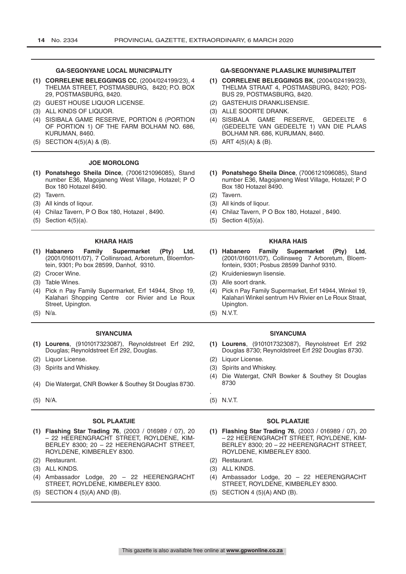|     | <b>GA-SEGONYANE LOCAL MUNICIPALITY</b><br>(1) CORRELENE BELEGGINGS CC, (2004/024199/23), 4<br>THELMA STREET, POSTMASBURG, 8420; P.O. BOX<br>29, POSTMASBURG, 8420.<br>(2) GUEST HOUSE LIQUOR LICENSE.<br>(3) ALL KINDS OF LIQUOR.<br>(4) SISIBALA GAME RESERVE, PORTION 6 (PORTION<br>OF PORTION 1) OF THE FARM BOLHAM NO. 686,<br>KURUMAN, 8460.<br>(5) SECTION 4(5)(A) & (B). | <b>GA-SEGONYANE PLAASLIKE MUNISIPALITEIT</b><br>(1) CORRELENE BELEGGINGS BK, (2004/024199/23),<br>THELMA STRAAT 4, POSTMASBURG, 8420; POS-<br>BUS 29, POSTMASBURG, 8420.<br>(2) GASTEHUIS DRANKLISENSIE.<br>(3) ALLE SOORTE DRANK.<br>(4) SISIBALA GAME RESERVE.<br><b>GEDEELTE</b><br>6<br>(GEDEELTE VAN GEDEELTE 1) VAN DIE PLAAS<br>BOLHAM NR. 686, KURUMAN, 8460.<br>$(5)$ ART 4 $(5)(A)$ & $(B)$ . |
|-----|---------------------------------------------------------------------------------------------------------------------------------------------------------------------------------------------------------------------------------------------------------------------------------------------------------------------------------------------------------------------------------|---------------------------------------------------------------------------------------------------------------------------------------------------------------------------------------------------------------------------------------------------------------------------------------------------------------------------------------------------------------------------------------------------------|
|     | <b>JOE MOROLONG</b>                                                                                                                                                                                                                                                                                                                                                             |                                                                                                                                                                                                                                                                                                                                                                                                         |
|     | (1) Ponatshego Sheila Dince, (7006121096085), Stand<br>number E36, Magojaneng West Village, Hotazel; P O<br>Box 180 Hotazel 8490.                                                                                                                                                                                                                                               | (1) Ponatshego Sheila Dince, (7006121096085), Stand<br>number E36, Magojaneng West Village, Hotazel; PO<br>Box 180 Hotazel 8490.                                                                                                                                                                                                                                                                        |
|     | (2) Tavern.                                                                                                                                                                                                                                                                                                                                                                     | (2) Tavern.                                                                                                                                                                                                                                                                                                                                                                                             |
|     | (3) All kinds of liqour.                                                                                                                                                                                                                                                                                                                                                        | (3) All kinds of liqour.                                                                                                                                                                                                                                                                                                                                                                                |
| (5) | (4) Chilaz Tavern, P O Box 180, Hotazel, 8490.<br>Section $4(5)(a)$ .                                                                                                                                                                                                                                                                                                           | (4) Chilaz Tavern, P O Box 180, Hotazel, 8490.<br>$(5)$ Section 4 $(5)(a)$ .                                                                                                                                                                                                                                                                                                                            |
|     |                                                                                                                                                                                                                                                                                                                                                                                 |                                                                                                                                                                                                                                                                                                                                                                                                         |
|     | <b>KHARA HAIS</b>                                                                                                                                                                                                                                                                                                                                                               | <b>KHARA HAIS</b>                                                                                                                                                                                                                                                                                                                                                                                       |
|     | Family<br><b>Supermarket</b><br>(1) Habanero<br>(Pty)<br>Ltd.<br>(2001/016011/07), 7 Collinsroad, Arboretum, Bloemfon-<br>tein, 9301; Po box 28599, Danhof, 9310.                                                                                                                                                                                                               | Family<br>Supermarket<br>(1) Habanero<br>(Pty)<br>Ltd.<br>(2001/016011/07), Collinsweg 7 Arboretum, Bloem-<br>fontein, 9301; Posbus 28599 Danhof 9310.                                                                                                                                                                                                                                                  |
|     | (2) Crocer Wine.                                                                                                                                                                                                                                                                                                                                                                | (2) Kruidenieswyn lisensie.                                                                                                                                                                                                                                                                                                                                                                             |
|     | (3) Table Wines.<br>(4) Pick n Pay Family Supermarket, Erf 14944, Shop 19,<br>Kalahari Shopping Centre cor Rivier and Le Roux<br>Street, Upington.                                                                                                                                                                                                                              | (3) Alle soort drank.<br>(4) Pick n Pay Family Supermarket, Erf 14944, Winkel 19,<br>Kalahari Winkel sentrum H/v Rivier en Le Roux Straat.<br>Upington.                                                                                                                                                                                                                                                 |
|     | $(5)$ N/a.                                                                                                                                                                                                                                                                                                                                                                      | $(5)$ N.V.T.                                                                                                                                                                                                                                                                                                                                                                                            |
|     | <b>SIYANCUMA</b>                                                                                                                                                                                                                                                                                                                                                                | <b>SIYANCUMA</b>                                                                                                                                                                                                                                                                                                                                                                                        |
|     | (1) Lourens, (9101017323087), Reynoldstreet Erf 292,<br>Douglas; Reynoldstreet Erf 292, Douglas.                                                                                                                                                                                                                                                                                | (1) Lourens, (9101017323087), Reynolstreet Erf 292<br>Douglas 8730; Reynoldstreet Erf 292 Douglas 8730.                                                                                                                                                                                                                                                                                                 |
|     | (2) Liquor License.                                                                                                                                                                                                                                                                                                                                                             | (2) Liquor License.                                                                                                                                                                                                                                                                                                                                                                                     |

- 
- (4) Die Watergat, CNR Bowker & Southey St Douglas 8730.
- (5) N/A. (5) N.V.T.

#### **SOL PLAATJIE SOL PLAATJIE**

- **(1) Flashing Star Trading 76**, (2003 / 016989 / 07), 20 – 22 HEERENGRACHT STREET, ROYLDENE, KIM-BERLEY 8300; 20 – 22 HEERENGRACHT STREET, ROYLDENE, KIMBERLEY 8300.
- (2) Restaurant. (2) Restaurant.
- 
- (4) Ambassador Lodge, 20 22 HEERENGRACHT STREET, ROYLDENE, KIMBERLEY 8300.
- (5) SECTION 4 (5)(A) AND (B). (5) SECTION 4 (5)(A) AND (B).
- 
- (4) Die Watergat, CNR Bowker & Southey St Douglas 8730
- 

.

- **(1) Flashing Star Trading 76**, (2003 / 016989 / 07), 20 – 22 HEERENGRACHT STREET, ROYLDENE, KIM-BERLEY 8300; 20 – 22 HEERENGRACHT STREET, ROYLDENE, KIMBERLEY 8300.
- 
- (3) ALL KINDS. (3) ALL KINDS.
	- (4) Ambassador Lodge, 20 22 HEERENGRACHT STREET, ROYLDENE, KIMBERLEY 8300.
	-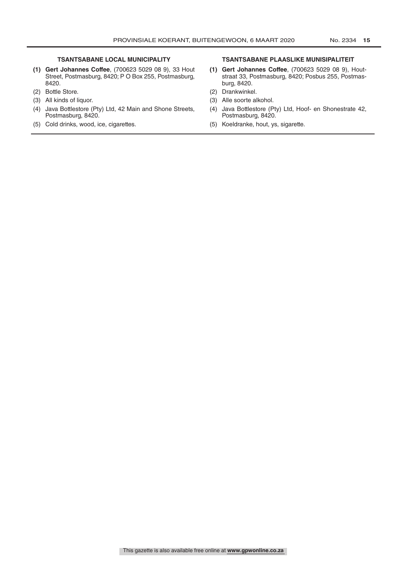- **(1) Gert Johannes Coffee**, (700623 5029 08 9), 33 Hout Street, Postmasburg, 8420; P O Box 255, Postmasburg, 8420.
- 
- 
- (4) Java Bottlestore (Pty) Ltd, 42 Main and Shone Streets, Postmasburg, 8420.
- (5) Cold drinks, wood, ice, cigarettes. (5) Koeldranke, hout, ys, sigarette.

#### **TSANTSABANE LOCAL MUNICIPALITY TSANTSABANE PLAASLIKE MUNISIPALITEIT**

- **(1) Gert Johannes Coffee**, (700623 5029 08 9), Houtstraat 33, Postmasburg, 8420; Posbus 255, Postmasburg, 8420.
- (2) Bottle Store. (2) Drankwinkel.
- (3) All kinds of liquor. (3) Alle soorte alkohol.
	- (4) Java Bottlestore (Pty) Ltd, Hoof- en Shonestrate 42, Postmasburg, 8420.
	-